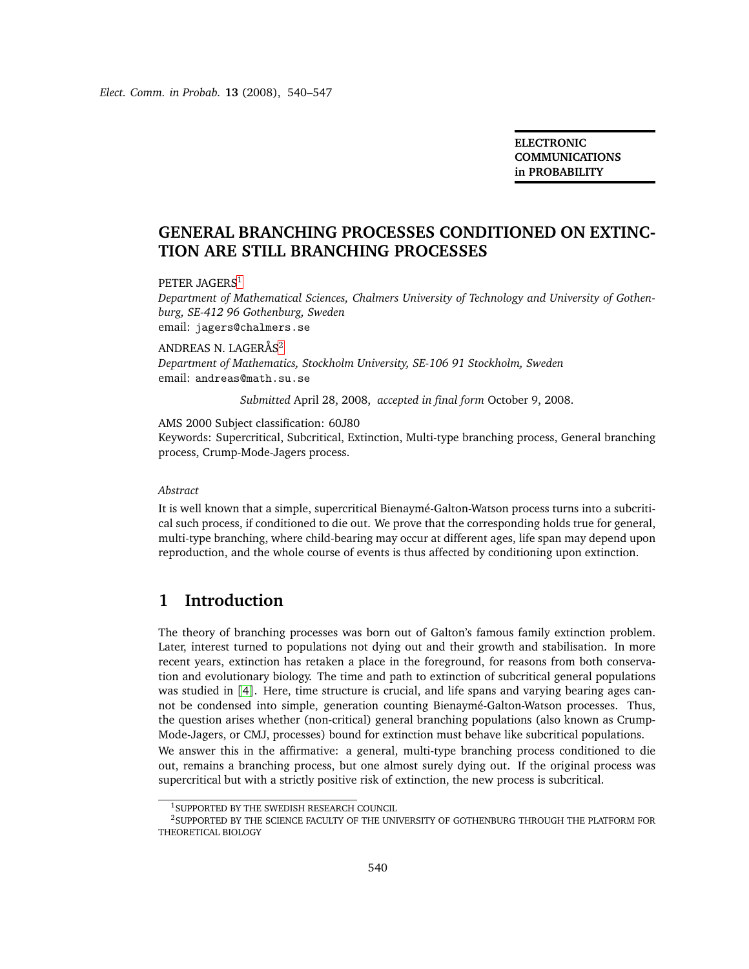**ELECTRONIC COMMUNICATIONS in PROBABILITY**

# **GENERAL BRANCHING PROCESSES CONDITIONED ON EXTINC-TION ARE STILL BRANCHING PROCESSES**

PETER JAGERS<sup>[1](#page-0-0)</sup>

*Department of Mathematical Sciences, Chalmers University of Technology and University of Gothenburg, SE-412 96 Gothenburg, Sweden* email: jagers@chalmers.se

ANDREAS N. LAGERÅS<sup>[2](#page-0-1)</sup> *Department of Mathematics, Stockholm University, SE-106 91 Stockholm, Sweden* email: andreas@math.su.se

*Submitted* April 28, 2008, *accepted in final form* October 9, 2008.

AMS 2000 Subject classification: 60J80

Keywords: Supercritical, Subcritical, Extinction, Multi-type branching process, General branching process, Crump-Mode-Jagers process.

#### *Abstract*

It is well known that a simple, supercritical Bienaymé-Galton-Watson process turns into a subcritical such process, if conditioned to die out. We prove that the corresponding holds true for general, multi-type branching, where child-bearing may occur at different ages, life span may depend upon reproduction, and the whole course of events is thus affected by conditioning upon extinction.

# **1 Introduction**

The theory of branching processes was born out of Galton's famous family extinction problem. Later, interest turned to populations not dying out and their growth and stabilisation. In more recent years, extinction has retaken a place in the foreground, for reasons from both conservation and evolutionary biology. The time and path to extinction of subcritical general populations was studied in [[4](#page-7-0)]. Here, time structure is crucial, and life spans and varying bearing ages cannot be condensed into simple, generation counting Bienaymé-Galton-Watson processes. Thus, the question arises whether (non-critical) general branching populations (also known as Crump-Mode-Jagers, or CMJ, processes) bound for extinction must behave like subcritical populations. We answer this in the affirmative: a general, multi-type branching process conditioned to die out, remains a branching process, but one almost surely dying out. If the original process was supercritical but with a strictly positive risk of extinction, the new process is subcritical.

<sup>1</sup>SUPPORTED BY THE SWEDISH RESEARCH COUNCIL

<span id="page-0-1"></span><span id="page-0-0"></span><sup>2</sup>SUPPORTED BY THE SCIENCE FACULTY OF THE UNIVERSITY OF GOTHENBURG THROUGH THE PLATFORM FOR THEORETICAL BIOLOGY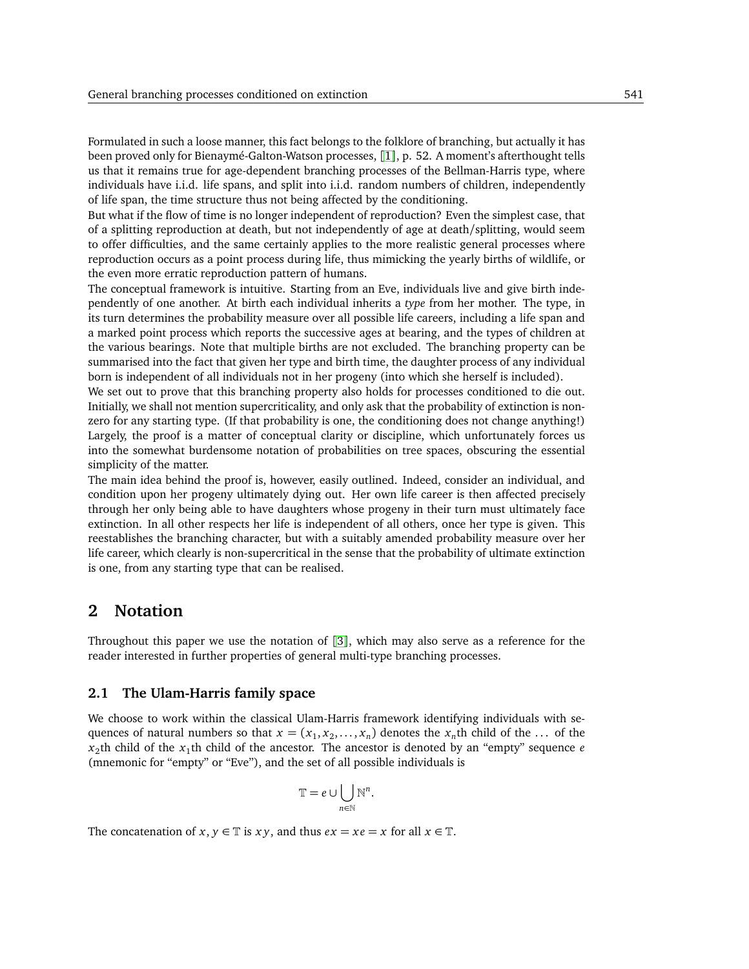Formulated in such a loose manner, this fact belongs to the folklore of branching, but actually it has been proved only for Bienaymé-Galton-Watson processes, [[1](#page-7-1)], p. 52. A moment's afterthought tells us that it remains true for age-dependent branching processes of the Bellman-Harris type, where individuals have i.i.d. life spans, and split into i.i.d. random numbers of children, independently of life span, the time structure thus not being affected by the conditioning.

But what if the flow of time is no longer independent of reproduction? Even the simplest case, that of a splitting reproduction at death, but not independently of age at death/splitting, would seem to offer difficulties, and the same certainly applies to the more realistic general processes where reproduction occurs as a point process during life, thus mimicking the yearly births of wildlife, or the even more erratic reproduction pattern of humans.

The conceptual framework is intuitive. Starting from an Eve, individuals live and give birth independently of one another. At birth each individual inherits a *type* from her mother. The type, in its turn determines the probability measure over all possible life careers, including a life span and a marked point process which reports the successive ages at bearing, and the types of children at the various bearings. Note that multiple births are not excluded. The branching property can be summarised into the fact that given her type and birth time, the daughter process of any individual born is independent of all individuals not in her progeny (into which she herself is included).

We set out to prove that this branching property also holds for processes conditioned to die out. Initially, we shall not mention supercriticality, and only ask that the probability of extinction is nonzero for any starting type. (If that probability is one, the conditioning does not change anything!) Largely, the proof is a matter of conceptual clarity or discipline, which unfortunately forces us into the somewhat burdensome notation of probabilities on tree spaces, obscuring the essential simplicity of the matter.

The main idea behind the proof is, however, easily outlined. Indeed, consider an individual, and condition upon her progeny ultimately dying out. Her own life career is then affected precisely through her only being able to have daughters whose progeny in their turn must ultimately face extinction. In all other respects her life is independent of all others, once her type is given. This reestablishes the branching character, but with a suitably amended probability measure over her life career, which clearly is non-supercritical in the sense that the probability of ultimate extinction is one, from any starting type that can be realised.

## **2 Notation**

Throughout this paper we use the notation of [[3](#page-7-2)], which may also serve as a reference for the reader interested in further properties of general multi-type branching processes.

### **2.1 The Ulam-Harris family space**

We choose to work within the classical Ulam-Harris framework identifying individuals with sequences of natural numbers so that  $x = (x_1, x_2, \ldots, x_n)$  denotes the  $x_n$ th child of the ... of the  $x_2$ th child of the  $x_1$ th child of the ancestor. The ancestor is denoted by an "empty" sequence *e* (mnemonic for "empty" or "Eve"), and the set of all possible individuals is

$$
\mathbb{T}=e\cup\bigcup_{n\in\mathbb{N}}\mathbb{N}^n.
$$

The concatenation of *x*, *y*  $\in$  T is *xy*, and thus *ex* = *xe* = *x* for all *x*  $\in$  T.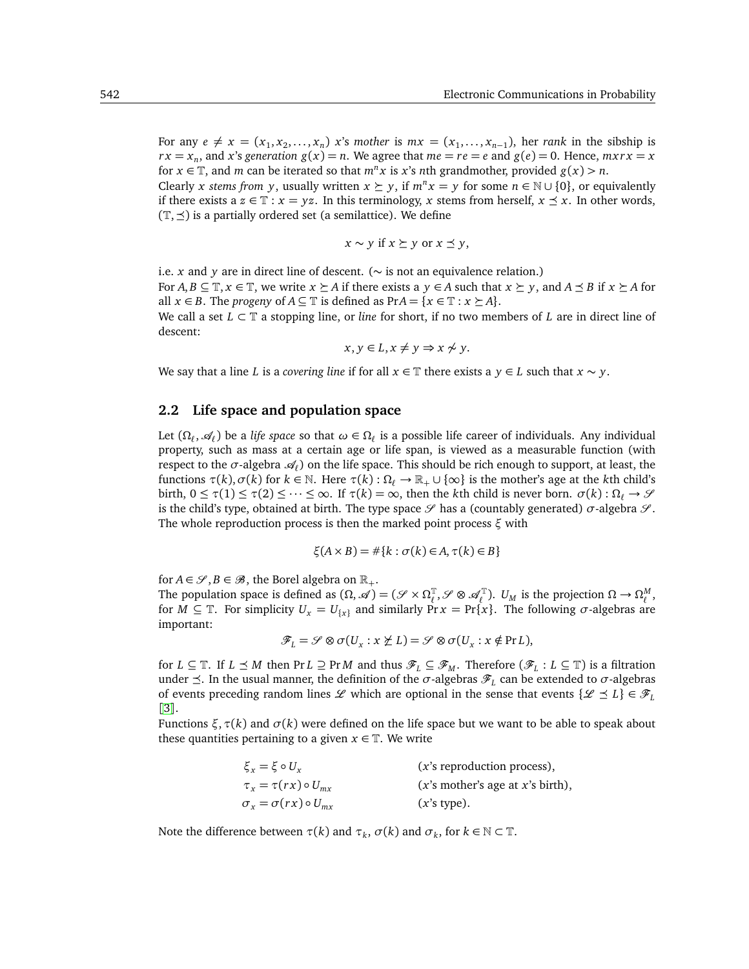For any  $e \neq x = (x_1, x_2, \ldots, x_n)$  *x*'s *mother* is  $mx = (x_1, \ldots, x_{n-1})$ , her *rank* in the sibship is  $rx = x_n$ , and *x*'s generation  $g(x) = n$ . We agree that  $me = re = e$  and  $g(e) = 0$ . Hence,  $mxrx = x$ for *x*  $\in$  T, and *m* can be iterated so that *m*<sup>*n*</sup>*x* is *x*'s *n*th grandmother, provided *g*(*x*) *> n*.

Clearly *x stems from y*, usually written  $x \succeq y$ , if  $m^n x = y$  for some  $n \in \mathbb{N} \cup \{0\}$ , or equivalently if there exists a  $z \in \mathbb{T}$  :  $x = yz$ . In this terminology, x stems from herself,  $x \preceq x$ . In other words,  $(\mathbb{T}, \preceq)$  is a partially ordered set (a semilattice). We define

$$
x \sim y \text{ if } x \succeq y \text{ or } x \preceq y,
$$

i.e. *x* and *y* are in direct line of descent. (∼ is not an equivalence relation.) For  $A, B \subseteq \mathbb{T}, x \in \mathbb{T}$ , we write  $x \succeq A$  if there exists a  $y \in A$  such that  $x \succeq y$ , and  $A \preceq B$  if  $x \succeq A$  for all *x* ∈ *B*. The *progeny* of *A* ⊆  $\mathbb{T}$  is defined as Pr*A* = {*x* ∈  $\mathbb{T}$  : *x*  $\succeq$  *A*}. We call a set *<sup>L</sup>* <sup>⊂</sup> <sup>T</sup> a stopping line, or *line* for short, if no two members of *<sup>L</sup>* are in direct line of descent:

$$
x, y \in L, x \neq y \Rightarrow x \not\sim y.
$$

We say that a line *L* is a *covering line* if for all  $x \in \mathbb{T}$  there exists a  $y \in L$  such that  $x \sim y$ .

### **2.2 Life space and population space**

Let  $(\Omega_\ell, \mathcal{A}_\ell)$  be a *life space* so that  $\omega \in \Omega_\ell$  is a possible life career of individuals. Any individual property, such as mass at a certain age or life span, is viewed as a measurable function (with respect to the *σ*-algebra  $\mathcal{A}_\ell$ ) on the life space. This should be rich enough to support, at least, the functions *<sup>τ</sup>*(*k*),*σ*(*k*) for *<sup>k</sup>* <sup>∈</sup> <sup>N</sup>. Here *<sup>τ</sup>*(*k*) : <sup>Ω</sup>*<sup>ℓ</sup>* <sup>→</sup> <sup>R</sup><sup>+</sup> ∪ {∞} is the mother's age at the *<sup>k</sup>*th child's  $\text{birth, } 0 \leq \tau(1) \leq \tau(2) \leq \cdots \leq \infty$ . If  $\tau(k) = \infty$ , then the *k*th child is never born. *σ*(*k*) : Ω<sub>*ℓ*</sub> → *S*<sup>*γ*</sup> is the child's type, obtained at birth. The type space  $\mathscr S$  has a (countably generated)  $\sigma$ -algebra  $\mathscr S$ . The whole reproduction process is then the marked point process *ξ* with

$$
\xi(A \times B) = \#\{k : \sigma(k) \in A, \tau(k) \in B\}
$$

for  $A \in \mathcal{S}, B \in \mathcal{B}$ , the Borel algebra on  $\mathbb{R}_+$ .

The population space is defined as  $(\Omega, \mathscr{A}) = (\mathscr{S} \times \Omega_{\ell}^{\mathbb{T}})$  $U_{\ell}^{\mathbb{T}}, \mathscr{S} \otimes \mathscr{A}_{\ell}^{\mathbb{T}}$ .  $U_M$  is the projection  $\Omega \to \Omega_{\ell}^M$ , for  $M \subseteq \mathbb{T}$ . For simplicity  $U_x = U_{\{x\}}$  and similarly  $\Pr x = \Pr\{x\}$ . The following  $\sigma$ -algebras are important:

$$
\mathscr{F}_L = \mathscr{S} \otimes \sigma(U_x : x \not\succeq L) = \mathscr{S} \otimes \sigma(U_x : x \notin Pr L),
$$

for *L* ⊆ T. If *L*  $\preceq$  *M* then Pr *L* ⊇ Pr *M* and thus  $\mathscr{F}_L \subseteq \mathscr{F}_M$ . Therefore  $(\mathscr{F}_L : L \subseteq \mathbb{T})$  is a filtration under  $\preceq$ . In the usual manner, the definition of the *σ*-algebras  $\mathscr{F}_L$  can be extended to *σ*-algebras of events preceding random lines L which are optional in the sense that events  $\{L \leq L\} \in \mathcal{F}_L$ [[3](#page-7-2)].

Functions *ξ*,*τ*(*k*) and *σ*(*k*) were defined on the life space but we want to be able to speak about these quantities pertaining to a given  $x \in \mathbb{T}$ . We write

| $\xi_{x} = \xi \circ U_{x}$          | $(x's$ reproduction process),      |
|--------------------------------------|------------------------------------|
| $\tau_x = \tau(rx) \circ U_{mx}$     | $(x's$ mother's age at x's birth), |
| $\sigma_x = \sigma(rx) \circ U_{mx}$ | $(x's type)$ .                     |

Note the difference between  $\tau(k)$  and  $\tau_k$ ,  $\sigma(k)$  and  $\sigma_k$ , for  $k \in \mathbb{N} \subset \mathbb{T}$ .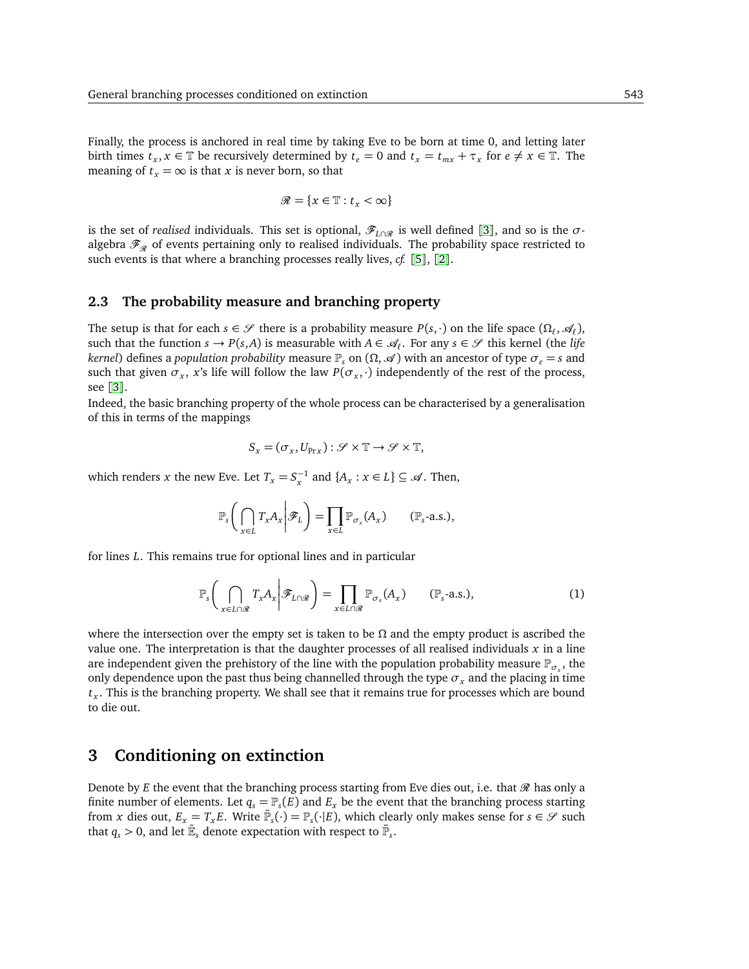Finally, the process is anchored in real time by taking Eve to be born at time 0, and letting later birth times  $t_x$ ,  $x \in \mathbb{T}$  be recursively determined by  $t_e = 0$  and  $t_x = t_{mx} + \tau_x$  for  $e \neq x \in \mathbb{T}$ . The meaning of  $t_x = \infty$  is that *x* is never born, so that

$$
\mathcal{R} = \{x \in \mathbb{T} : t_x < \infty\}
$$

is the set of *realised* individuals. This set is optional,  $\mathscr{F}_{L\cap\mathscr{R}}$  is well defined [[3](#page-7-2)], and so is the  $\sigma$ algebra  $\mathscr{F}_{\mathscr{R}}$  of events pertaining only to realised individuals. The probability space restricted to such events is that where a branching processes really lives, *cf.* [[5](#page-7-3)], [[2](#page-7-4)].

## **2.3 The probability measure and branching property**

The setup is that for each  $s \in \mathcal{S}$  there is a probability measure  $P(s, \cdot)$  on the life space  $(\Omega_{\ell}, \mathcal{A}_{\ell})$ , such that the function  $s \to P(s, A)$  is measurable with  $A \in \mathcal{A}_\ell$ . For any  $s \in \mathcal{S}$  this kernel (the *life kernel*) defines a *population probability* measure  $\mathbb{P}_s$  on  $(\Omega, \mathcal{A})$  with an ancestor of type  $\sigma_e = s$  and such that given  $\sigma_x$ , *x*'s life will follow the law  $P(\sigma_x, \cdot)$  independently of the rest of the process, see [[3](#page-7-2)].

Indeed, the basic branching property of the whole process can be characterised by a generalisation of this in terms of the mappings

$$
S_{x} = (\sigma_{x}, U_{\text{Pr} x}) : \mathcal{S} \times \mathbb{T} \to \mathcal{S} \times \mathbb{T},
$$

which renders *x* the new Eve. Let  $T_x = S_x^{-1}$  and  $\{A_x : x \in L\} \subseteq \mathcal{A}$ . Then,

$$
\mathbb{P}_s\bigg(\bigcap_{x\in L}T_xA_x\bigg|\mathscr{F}_L\bigg)=\prod_{x\in L}\mathbb{P}_{\sigma_x}(A_x)\qquad(\mathbb{P}_s\text{-a.s.}),
$$

<span id="page-3-0"></span>for lines *L*. This remains true for optional lines and in particular

$$
\mathbb{P}_s\bigg(\bigcap_{x\in L\cap\mathcal{R}}T_xA_x\bigg|\mathcal{F}_{L\cap\mathcal{R}}\bigg)=\prod_{x\in L\cap\mathcal{R}}\mathbb{P}_{\sigma_x}(A_x)\qquad(\mathbb{P}_s\text{-a.s.}),\tag{1}
$$

where the intersection over the empty set is taken to be  $\Omega$  and the empty product is ascribed the value one. The interpretation is that the daughter processes of all realised individuals *x* in a line are independent given the prehistory of the line with the population probability measure  $\mathbb{P}_{\sigma_x}$ , the only dependence upon the past thus being channelled through the type  $\sigma_x$  and the placing in time *t x* . This is the branching property. We shall see that it remains true for processes which are bound to die out.

## **3 Conditioning on extinction**

Denote by *E* the event that the branching process starting from Eve dies out, i.e. that  $\mathcal{R}$  has only a finite number of elements. Let  $q_s = \mathbb{P}_s(E)$  and  $E_x$  be the event that the branching process starting from *x* dies out,  $E_x = T_x E$ . Write  $\tilde{\mathbb{P}}_s(\cdot) = \mathbb{P}_s(\cdot | E)$ , which clearly only makes sense for  $s \in \mathcal{S}$  such that  $q_s > 0$ , and let  $\tilde{\mathbb{E}}_s$  denote expectation with respect to  $\tilde{\mathbb{P}}_s.$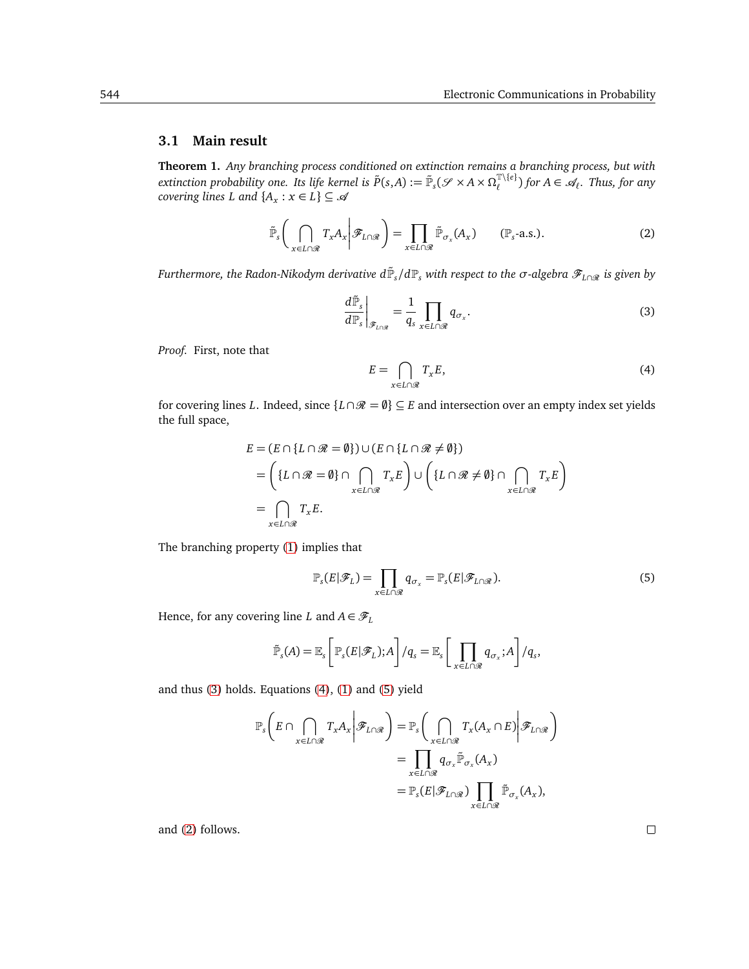## <span id="page-4-4"></span>**3.1 Main result**

**Theorem 1.** *Any branching process conditioned on extinction remains a branching process, but with extinction probability one. Its life kernel is*  $\tilde{P}(s, A) := \tilde{\mathbb{P}}_s(\mathscr{S} \times A \times \Omega_{\ell}^{T \setminus \{e\}})$  *<i>for*  $A \in \mathscr{A}_{\ell}$ *. Thus, for any covering lines L and*  $\{A_x : x \in L\} \subseteq \mathcal{A}$ 

<span id="page-4-0"></span>
$$
\tilde{\mathbb{P}}_s \bigg( \bigcap_{x \in L \cap \mathcal{R}} T_x A_x \bigg| \mathcal{F}_{L \cap \mathcal{R}} \bigg) = \prod_{x \in L \cap \mathcal{R}} \tilde{\mathbb{P}}_{\sigma_x}(A_x) \qquad (\mathbb{P}_s \text{-a.s.}). \tag{2}
$$

<span id="page-4-3"></span> $F$ urthermore, the Radon-Nikodym derivative  $d\tilde{\mathbb{P}}_s/d\mathbb{P}_s$  with respect to the  $\sigma$ -algebra  $\mathscr{F}_{L\cap\mathscr{R}}$  is given by

$$
\left. \frac{d\tilde{\mathbb{P}}_s}{d\mathbb{P}_s} \right|_{\mathscr{F}_{L \cap \mathscr{R}}} = \frac{1}{q_s} \prod_{x \in L \cap \mathscr{R}} q_{\sigma_x}.
$$
\n(3)

*Proof.* First, note that

$$
E = \bigcap_{x \in L \cap \mathcal{R}} T_x E,\tag{4}
$$

for covering lines *L*. Indeed, since  $\{L \cap \mathcal{R} = \emptyset\} \subseteq E$  and intersection over an empty index set yields the full space,

<span id="page-4-1"></span>
$$
E = (E \cap \{L \cap \mathcal{R} = \emptyset\}) \cup (E \cap \{L \cap \mathcal{R} \neq \emptyset\})
$$
  
= 
$$
\left(\{L \cap \mathcal{R} = \emptyset\} \cap \bigcap_{x \in L \cap \mathcal{R}} T_x E\right) \cup \left(\{L \cap \mathcal{R} \neq \emptyset\} \cap \bigcap_{x \in L \cap \mathcal{R}} T_x E\right)
$$
  
= 
$$
\bigcap_{x \in L \cap \mathcal{R}} T_x E.
$$

<span id="page-4-2"></span>The branching property [\(1\)](#page-3-0) implies that

$$
\mathbb{P}_s(E|\mathscr{F}_L) = \prod_{x \in L \cap \mathscr{R}} q_{\sigma_x} = \mathbb{P}_s(E|\mathscr{F}_{L \cap \mathscr{R}}). \tag{5}
$$

Hence, for any covering line *L* and  $A \in \mathcal{F}_L$ 

$$
\tilde{\mathbb{P}}_s(A) = \mathbb{E}_s\left[\mathbb{P}_s(E|\mathscr{F}_L);A\right]/q_s = \mathbb{E}_s\left[\prod_{x \in L \cap \mathscr{R}} q_{\sigma_x};A\right]/q_s,
$$

and thus [\(3\)](#page-4-0) holds. Equations [\(4\)](#page-4-1), [\(1\)](#page-3-0) and [\(5\)](#page-4-2) yield

$$
\mathbb{P}_{s}\left(E \cap \bigcap_{x \in L \cap \mathcal{R}} T_{x} A_{x} \middle| \mathcal{F}_{L \cap \mathcal{R}}\right) = \mathbb{P}_{s}\left(\bigcap_{x \in L \cap \mathcal{R}} T_{x}(A_{x} \cap E) \middle| \mathcal{F}_{L \cap \mathcal{R}}\right)
$$

$$
= \prod_{x \in L \cap \mathcal{R}} q_{\sigma_{x}} \tilde{\mathbb{P}}_{\sigma_{x}}(A_{x})
$$

$$
= \mathbb{P}_{s}(E | \mathcal{F}_{L \cap \mathcal{R}}) \prod_{x \in L \cap \mathcal{R}} \tilde{\mathbb{P}}_{\sigma_{x}}(A_{x}),
$$

and [\(2\)](#page-4-3) follows.

 $\Box$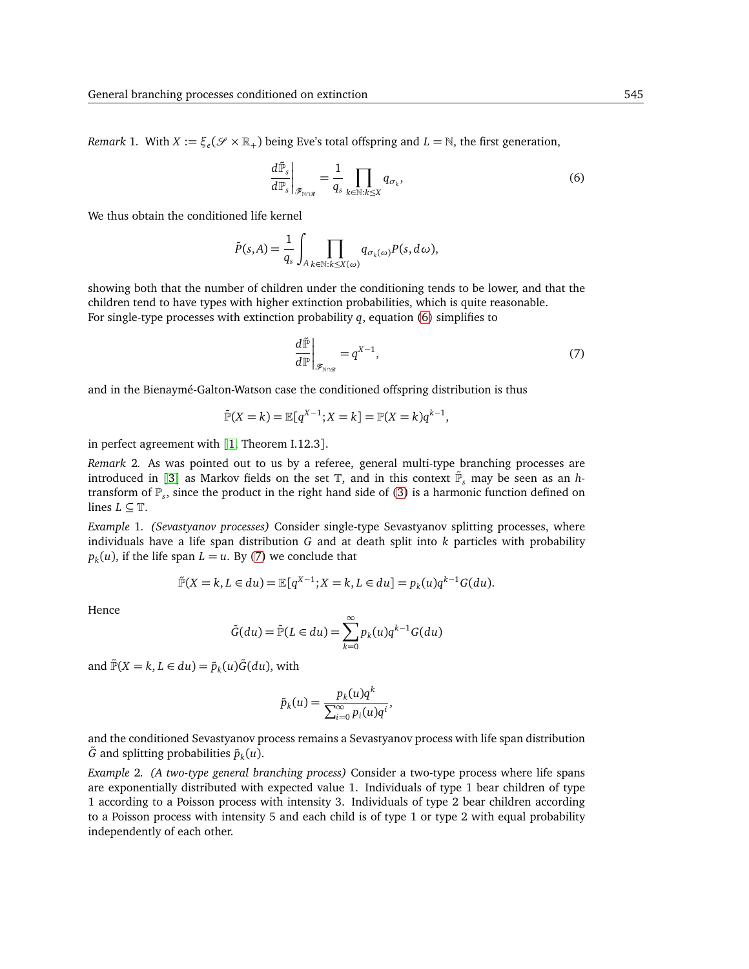*Remark* 1. With  $X := \xi_e(\mathcal{S} \times \mathbb{R}_+)$  being Eve's total offspring and  $L = \mathbb{N}$ , the first generation,

$$
\left. \frac{d\tilde{\mathbb{P}}_s}{d\mathbb{P}_s} \right|_{\mathscr{F}_{\mathbb{N}\cap\mathscr{R}}} = \frac{1}{q_s} \prod_{k \in \mathbb{N}:k \le X} q_{\sigma_k},\tag{6}
$$

We thus obtain the conditioned life kernel

<span id="page-5-0"></span>
$$
\tilde{P}(s,A) = \frac{1}{q_s} \int_{A} \prod_{k \in \mathbb{N}:k \leq X(\omega)} q_{\sigma_k(\omega)} P(s,d\omega),
$$

showing both that the number of children under the conditioning tends to be lower, and that the children tend to have types with higher extinction probabilities, which is quite reasonable. For single-type processes with extinction probability *q*, equation [\(6\)](#page-5-0) simplifies to

$$
\left. \frac{d\tilde{\mathbb{P}}}{d\mathbb{P}} \right|_{\mathscr{F}_{N\cap\mathscr{R}}} = q^{X-1},\tag{7}
$$

and in the Bienaymé-Galton-Watson case the conditioned offspring distribution is thus

<span id="page-5-1"></span>
$$
\tilde{\mathbb{P}}(X = k) = \mathbb{E}[q^{X-1}; X = k] = \mathbb{P}(X = k)q^{k-1},
$$

in perfect agreement with [[1,](#page-7-1) Theorem I.12.3].

*Remark* 2*.* As was pointed out to us by a referee, general multi-type branching processes are introduced in [[3](#page-7-2)] as Markov fields on the set  $\mathbb{T}$ , and in this context  $\tilde{\mathbb{P}}_s$  may be seen as an *h*transform of P*<sup>s</sup>* , since the product in the right hand side of [\(3\)](#page-4-0) is a harmonic function defined on lines  $L \subseteq \mathbb{T}$ .

*Example* 1*. (Sevastyanov processes)* Consider single-type Sevastyanov splitting processes, where individuals have a life span distribution *G* and at death split into *k* particles with probability  $p_k(u)$ , if the life span  $L = u$ . By [\(7\)](#page-5-1) we conclude that

$$
\tilde{\mathbb{P}}(X = k, L \in du) = \mathbb{E}[q^{X-1}; X = k, L \in du] = p_k(u)q^{k-1}G(du).
$$

Hence

$$
\tilde{G}(du) = \tilde{\mathbb{P}}(L \in du) = \sum_{k=0}^{\infty} p_k(u) q^{k-1} G(du)
$$

and  $\tilde{\mathbb{P}}(X = k, L \in du) = \tilde{p}_k(u)\tilde{G}(du)$ , with

$$
\tilde{p}_k(u) = \frac{p_k(u)q^k}{\sum_{i=0}^{\infty} p_i(u)q^i},
$$

and the conditioned Sevastyanov process remains a Sevastyanov process with life span distribution  $\tilde{G}$  and splitting probabilities  $\tilde{p}_k(u)$ .

*Example* 2*. (A two-type general branching process)* Consider a two-type process where life spans are exponentially distributed with expected value 1. Individuals of type 1 bear children of type 1 according to a Poisson process with intensity 3. Individuals of type 2 bear children according to a Poisson process with intensity 5 and each child is of type 1 or type 2 with equal probability independently of each other.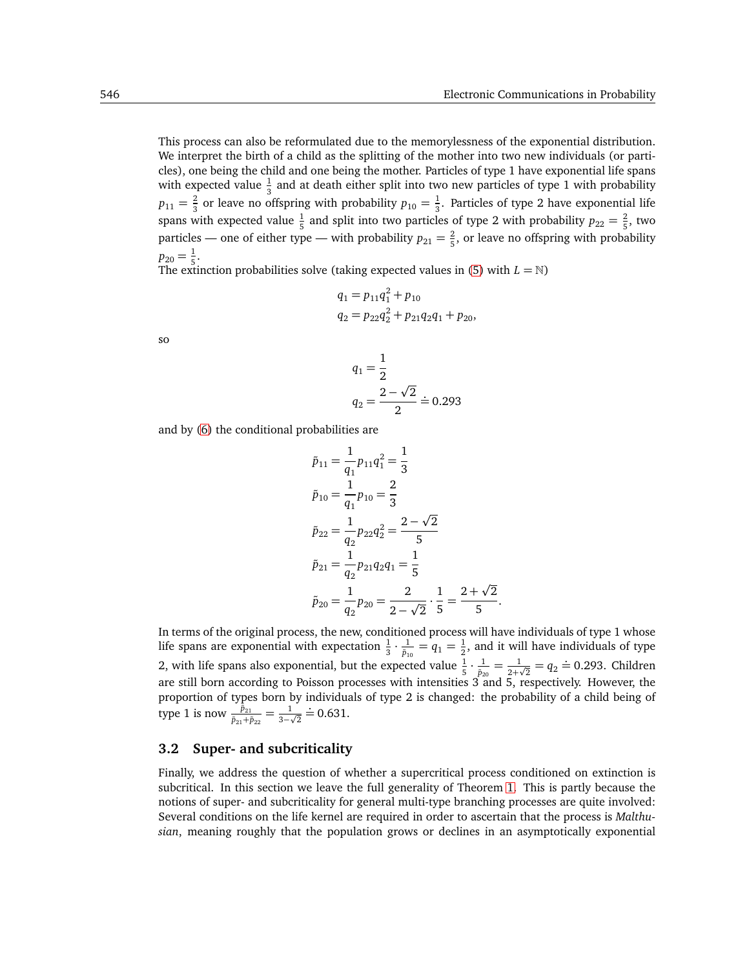with expected value  $\frac{1}{3}$  and at death either split into two new particles of type 1 with probability  $p_{11} = \frac{2}{3}$  $\frac{2}{3}$  or leave no offspring with probability  $p_{10} = \frac{1}{3}$  $\frac{1}{3}$ . Particles of type 2 have exponential life spans with expected value  $\frac{1}{5}$  and split into two particles of type 2 with probability  $p_{22} = \frac{2}{5}$  $\frac{2}{5}$ , two particles — one of either type — with probability  $p_{21} = \frac{2}{5}$  $\frac{2}{5}$ , or leave no offspring with probability  $p_{20} = \frac{1}{5}$  $\frac{1}{5}$ .

The extinction probabilities solve (taking expected values in [\(5\)](#page-4-2) with  $L = \mathbb{N}$ )

$$
q_1 = p_{11}q_1^2 + p_{10}
$$
  
\n
$$
q_2 = p_{22}q_2^2 + p_{21}q_2q_1 + p_{20},
$$

so

$$
q_1 = \frac{1}{2}
$$
  

$$
q_2 = \frac{2 - \sqrt{2}}{2} \doteq 0.293
$$

and by [\(6\)](#page-5-0) the conditional probabilities are

$$
\tilde{p}_{11} = \frac{1}{q_1} p_{11} q_1^2 = \frac{1}{3}
$$
  
\n
$$
\tilde{p}_{10} = \frac{1}{q_1} p_{10} = \frac{2}{3}
$$
  
\n
$$
\tilde{p}_{22} = \frac{1}{q_2} p_{22} q_2^2 = \frac{2 - \sqrt{2}}{5}
$$
  
\n
$$
\tilde{p}_{21} = \frac{1}{q_2} p_{21} q_2 q_1 = \frac{1}{5}
$$
  
\n
$$
\tilde{p}_{20} = \frac{1}{q_2} p_{20} = \frac{2}{2 - \sqrt{2}} \cdot \frac{1}{5} = \frac{2 + \sqrt{2}}{5}.
$$

In terms of the original process, the new, conditioned process will have individuals of type 1 whose life spans are exponential with expectation  $\frac{1}{3} \cdot \frac{1}{\tilde{p}_1}$  $\frac{1}{\tilde{p}_{10}}=q_1=\frac{1}{2}$  $\frac{1}{2}$ , and it will have individuals of type 2, with life spans also exponential, but the expected value  $\frac{1}{5} \cdot \frac{1}{\tilde{p}_2}$  $\frac{1}{\tilde{p}_{20}} = \frac{1}{2+\tilde{p}_{20}}$  $\frac{1}{2+\sqrt{2}} = q_2 \doteq 0.293$ . Children are still born according to Poisson processes with intensities 3 and 5, respectively. However, the proportion of types born by individuals of type 2 is changed: the probability of a child being of type 1 is now  $\frac{\bar{p}_{21}}{\bar{p}_{21}+\bar{p}_{22}} = \frac{1}{3-\epsilon}$  $\frac{1}{3-\sqrt{2}}$  $\stackrel{1}{=} 0.631.$ 

#### **3.2 Super- and subcriticality**

Finally, we address the question of whether a supercritical process conditioned on extinction is subcritical. In this section we leave the full generality of Theorem [1.](#page-4-4) This is partly because the notions of super- and subcriticality for general multi-type branching processes are quite involved: Several conditions on the life kernel are required in order to ascertain that the process is *Malthusian*, meaning roughly that the population grows or declines in an asymptotically exponential